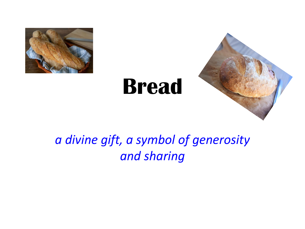

# **Bread**



### *a divine gift, a symbol of generosity and sharing*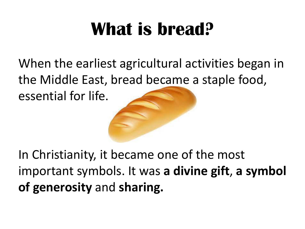### **What is bread?**

When the earliest agricultural activities began in the Middle East, bread became a staple food,

essential for life.



In Christianity, it became one of the most important symbols. It was **a divine gift**, **a symbol of generosity** and **sharing.**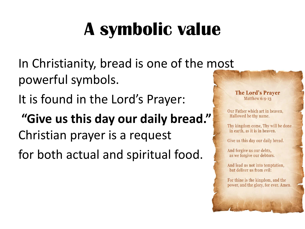# **A symbolic value**

In Christianity, bread is one of the most powerful symbols.

It is found in the Lord's Prayer:

**"Give us this day our daily bread." Indeed be thy name.** Thy will be done Christian prayer is a request

for both actual and spiritual food.

#### **The Lord's Praver** Matthew 6:9-13

Our Father which art in heaven.

in earth, as it is in heaven.

Give us this day our daily bread.

And forgive us our debts, as we forgive our debtors.

And lead us not into temptation, but deliver us from evil:

For thine is the kingdom, and the power, and the glory, for ever. Amen.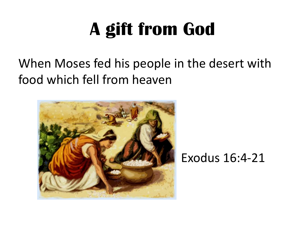# **A gift from God**

#### When Moses fed his people in the desert with food which fell from heaven



#### Exodus 16:4-21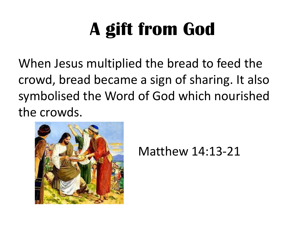# **A gift from God**

When Jesus multiplied the bread to feed the crowd, bread became a sign of sharing. It also symbolised the Word of God which nourished the crowds.



Matthew 14:13-21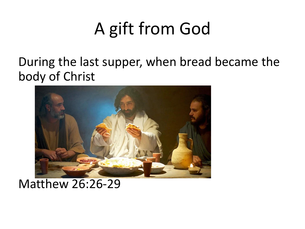### A gift from God

During the last supper, when bread became the body of Christ



#### Matthew 26:26-29